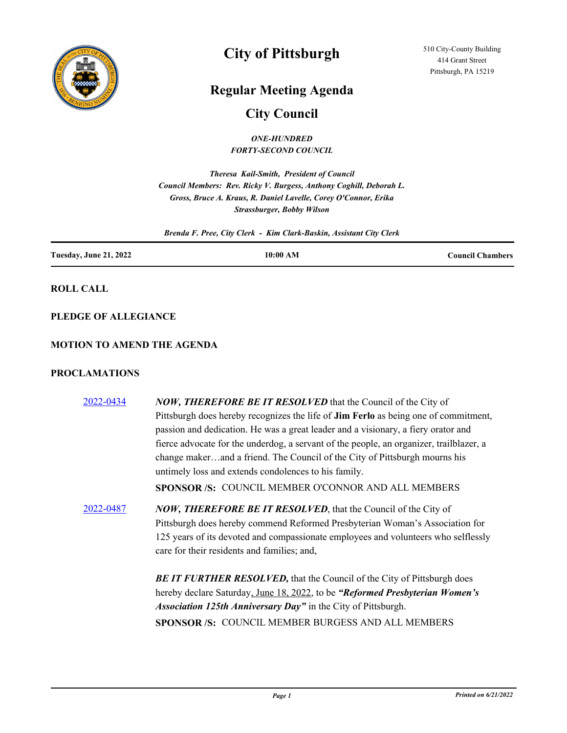

# **City of Pittsburgh**

## **Regular Meeting Agenda**

## **City Council**

*ONE-HUNDRED FORTY-SECOND COUNCIL*

*Theresa Kail-Smith, President of Council Council Members: Rev. Ricky V. Burgess, Anthony Coghill, Deborah L. Gross, Bruce A. Kraus, R. Daniel Lavelle, Corey O'Connor, Erika Strassburger, Bobby Wilson*

*Brenda F. Pree, City Clerk - Kim Clark-Baskin, Assistant City Clerk*

| <b>Tuesday, June 21, 2022</b> | 10:00 AM | <b>Council Chambers</b> |
|-------------------------------|----------|-------------------------|
|                               |          |                         |

**ROLL CALL**

**PLEDGE OF ALLEGIANCE**

#### **MOTION TO AMEND THE AGENDA**

#### **PROCLAMATIONS**

| 2022-0434 | <b>NOW, THEREFORE BE IT RESOLVED</b> that the Council of the City of                       |
|-----------|--------------------------------------------------------------------------------------------|
|           | Pittsburgh does hereby recognizes the life of <b>Jim Ferlo</b> as being one of commitment, |
|           | passion and dedication. He was a great leader and a visionary, a fiery orator and          |
|           | fierce advocate for the underdog, a servant of the people, an organizer, trailblazer, a    |
|           | change makerand a friend. The Council of the City of Pittsburgh mourns his                 |
|           | untimely loss and extends condolences to his family.                                       |
|           | SPONSOR /S: COUNCIL MEMBER O'CONNOR AND ALL MEMBERS                                        |
| 2022-0487 | <b>NOW, THEREFORE BE IT RESOLVED, that the Council of the City of</b>                      |
|           | Pittsburgh does hereby commend Reformed Presbyterian Woman's Association for               |
|           | 125 years of its devoted and compassionate employees and volunteers who selflessly         |
|           | care for their residents and families; and,                                                |
|           | <b>BE IT FURTHER RESOLVED, that the Council of the City of Pittsburgh does</b>             |
|           | hereby declare Saturday, June 18, 2022, to be "Reformed Presbyterian Women's               |
|           | Association 125th Anniversary Day" in the City of Pittsburgh.                              |
|           | SPONSOR /S: COUNCIL MEMBER BURGESS AND ALL MEMBERS                                         |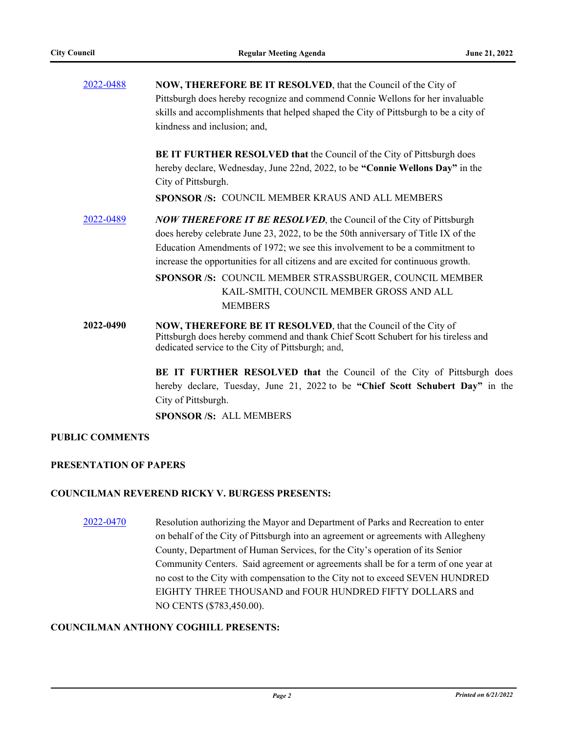| 2022-0488 | NOW, THEREFORE BE IT RESOLVED, that the Council of the City of                                                                                                                                                   |  |
|-----------|------------------------------------------------------------------------------------------------------------------------------------------------------------------------------------------------------------------|--|
|           | Pittsburgh does hereby recognize and commend Connie Wellons for her invaluable                                                                                                                                   |  |
|           | skills and accomplishments that helped shaped the City of Pittsburgh to be a city of                                                                                                                             |  |
|           | kindness and inclusion; and,                                                                                                                                                                                     |  |
|           | <b>BE IT FURTHER RESOLVED that the Council of the City of Pittsburgh does</b>                                                                                                                                    |  |
|           | hereby declare, Wednesday, June 22nd, 2022, to be "Connie Wellons Day" in the<br>City of Pittsburgh.                                                                                                             |  |
|           | SPONSOR /S: COUNCIL MEMBER KRAUS AND ALL MEMBERS                                                                                                                                                                 |  |
| 2022-0489 | <b>NOW THEREFORE IT BE RESOLVED, the Council of the City of Pittsburgh</b>                                                                                                                                       |  |
|           | does hereby celebrate June 23, 2022, to be the 50th anniversary of Title IX of the                                                                                                                               |  |
|           | Education Amendments of 1972; we see this involvement to be a commitment to                                                                                                                                      |  |
|           | increase the opportunities for all citizens and are excited for continuous growth.                                                                                                                               |  |
|           | SPONSOR /S: COUNCIL MEMBER STRASSBURGER, COUNCIL MEMBER                                                                                                                                                          |  |
|           | KAIL-SMITH, COUNCIL MEMBER GROSS AND ALL                                                                                                                                                                         |  |
|           | <b>MEMBERS</b>                                                                                                                                                                                                   |  |
| 2022-0490 | <b>NOW, THEREFORE BE IT RESOLVED, that the Council of the City of</b><br>Pittsburgh does hereby commend and thank Chief Scott Schubert for his tireless and<br>dedicated service to the City of Pittsburgh; and, |  |
|           | <b>BE IT FURTHER RESOLVED that the Council of the City of Pittsburgh does</b>                                                                                                                                    |  |

hereby declare, Tuesday, June 21, 2022 to be **"Chief Scott Schubert Day"** in the City of Pittsburgh.

**SPONSOR /S:** ALL MEMBERS

#### **PUBLIC COMMENTS**

#### **PRESENTATION OF PAPERS**

#### **COUNCILMAN REVEREND RICKY V. BURGESS PRESENTS:**

[2022-0470](http://pittsburgh.legistar.com/gateway.aspx?m=l&id=/matter.aspx?key=27867) Resolution authorizing the Mayor and Department of Parks and Recreation to enter on behalf of the City of Pittsburgh into an agreement or agreements with Allegheny County, Department of Human Services, for the City's operation of its Senior Community Centers. Said agreement or agreements shall be for a term of one year at no cost to the City with compensation to the City not to exceed SEVEN HUNDRED EIGHTY THREE THOUSAND and FOUR HUNDRED FIFTY DOLLARS and NO CENTS (\$783,450.00).

#### **COUNCILMAN ANTHONY COGHILL PRESENTS:**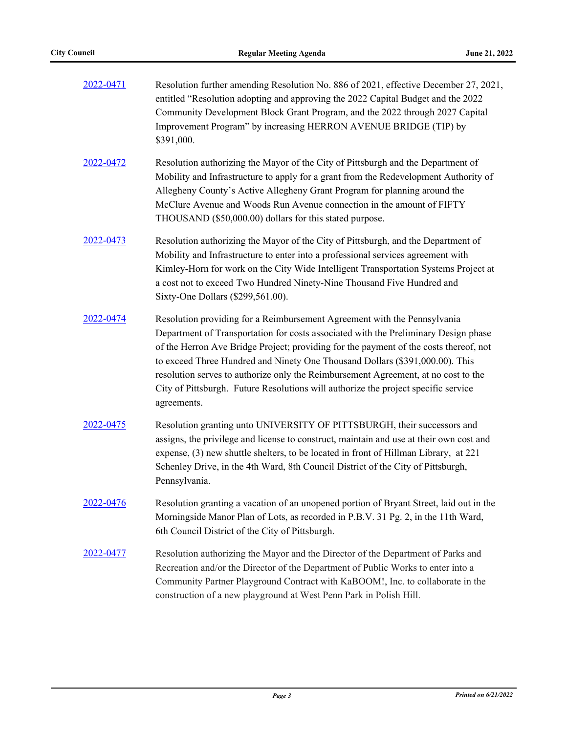| 2022-0471 | Resolution further amending Resolution No. 886 of 2021, effective December 27, 2021,<br>entitled "Resolution adopting and approving the 2022 Capital Budget and the 2022<br>Community Development Block Grant Program, and the 2022 through 2027 Capital<br>Improvement Program" by increasing HERRON AVENUE BRIDGE (TIP) by<br>\$391,000.                                                                                                                                                                                          |
|-----------|-------------------------------------------------------------------------------------------------------------------------------------------------------------------------------------------------------------------------------------------------------------------------------------------------------------------------------------------------------------------------------------------------------------------------------------------------------------------------------------------------------------------------------------|
| 2022-0472 | Resolution authorizing the Mayor of the City of Pittsburgh and the Department of<br>Mobility and Infrastructure to apply for a grant from the Redevelopment Authority of<br>Allegheny County's Active Allegheny Grant Program for planning around the<br>McClure Avenue and Woods Run Avenue connection in the amount of FIFTY<br>THOUSAND (\$50,000.00) dollars for this stated purpose.                                                                                                                                           |
| 2022-0473 | Resolution authorizing the Mayor of the City of Pittsburgh, and the Department of<br>Mobility and Infrastructure to enter into a professional services agreement with<br>Kimley-Horn for work on the City Wide Intelligent Transportation Systems Project at<br>a cost not to exceed Two Hundred Ninety-Nine Thousand Five Hundred and<br>Sixty-One Dollars (\$299,561.00).                                                                                                                                                         |
| 2022-0474 | Resolution providing for a Reimbursement Agreement with the Pennsylvania<br>Department of Transportation for costs associated with the Preliminary Design phase<br>of the Herron Ave Bridge Project; providing for the payment of the costs thereof, not<br>to exceed Three Hundred and Ninety One Thousand Dollars (\$391,000.00). This<br>resolution serves to authorize only the Reimbursement Agreement, at no cost to the<br>City of Pittsburgh. Future Resolutions will authorize the project specific service<br>agreements. |
| 2022-0475 | Resolution granting unto UNIVERSITY OF PITTSBURGH, their successors and<br>assigns, the privilege and license to construct, maintain and use at their own cost and<br>expense, (3) new shuttle shelters, to be located in front of Hillman Library, at 221<br>Schenley Drive, in the 4th Ward, 8th Council District of the City of Pittsburgh,<br>Pennsylvania.                                                                                                                                                                     |
| 2022-0476 | Resolution granting a vacation of an unopened portion of Bryant Street, laid out in the<br>Morningside Manor Plan of Lots, as recorded in P.B.V. 31 Pg. 2, in the 11th Ward,<br>6th Council District of the City of Pittsburgh.                                                                                                                                                                                                                                                                                                     |
| 2022-0477 | Resolution authorizing the Mayor and the Director of the Department of Parks and<br>Recreation and/or the Director of the Department of Public Works to enter into a<br>Community Partner Playground Contract with KaBOOM!, Inc. to collaborate in the<br>construction of a new playground at West Penn Park in Polish Hill.                                                                                                                                                                                                        |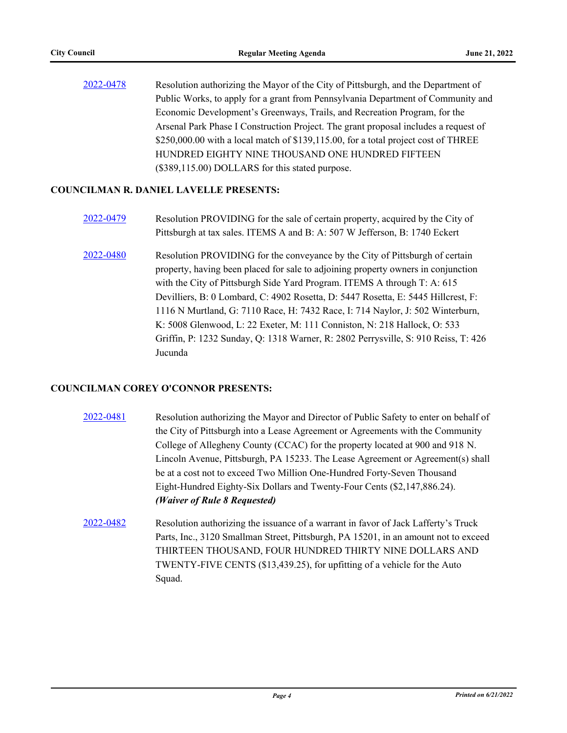[2022-0478](http://pittsburgh.legistar.com/gateway.aspx?m=l&id=/matter.aspx?key=27875) Resolution authorizing the Mayor of the City of Pittsburgh, and the Department of Public Works, to apply for a grant from Pennsylvania Department of Community and Economic Development's Greenways, Trails, and Recreation Program, for the Arsenal Park Phase I Construction Project. The grant proposal includes a request of \$250,000.00 with a local match of \$139,115.00, for a total project cost of THREE HUNDRED EIGHTY NINE THOUSAND ONE HUNDRED FIFTEEN (\$389,115.00) DOLLARS for this stated purpose.

#### **COUNCILMAN R. DANIEL LAVELLE PRESENTS:**

- [2022-0479](http://pittsburgh.legistar.com/gateway.aspx?m=l&id=/matter.aspx?key=27876) Resolution PROVIDING for the sale of certain property, acquired by the City of Pittsburgh at tax sales. ITEMS A and B: A: 507 W Jefferson, B: 1740 Eckert
- [2022-0480](http://pittsburgh.legistar.com/gateway.aspx?m=l&id=/matter.aspx?key=27877) Resolution PROVIDING for the conveyance by the City of Pittsburgh of certain property, having been placed for sale to adjoining property owners in conjunction with the City of Pittsburgh Side Yard Program. ITEMS A through T: A: 615 Devilliers, B: 0 Lombard, C: 4902 Rosetta, D: 5447 Rosetta, E: 5445 Hillcrest, F: 1116 N Murtland, G: 7110 Race, H: 7432 Race, I: 714 Naylor, J: 502 Winterburn, K: 5008 Glenwood, L: 22 Exeter, M: 111 Conniston, N: 218 Hallock, O: 533 Griffin, P: 1232 Sunday, Q: 1318 Warner, R: 2802 Perrysville, S: 910 Reiss, T: 426 Jucunda

#### **COUNCILMAN COREY O'CONNOR PRESENTS:**

- [2022-0481](http://pittsburgh.legistar.com/gateway.aspx?m=l&id=/matter.aspx?key=27878) Resolution authorizing the Mayor and Director of Public Safety to enter on behalf of the City of Pittsburgh into a Lease Agreement or Agreements with the Community College of Allegheny County (CCAC) for the property located at 900 and 918 N. Lincoln Avenue, Pittsburgh, PA 15233. The Lease Agreement or Agreement(s) shall be at a cost not to exceed Two Million One-Hundred Forty-Seven Thousand Eight-Hundred Eighty-Six Dollars and Twenty-Four Cents (\$2,147,886.24). *(Waiver of Rule 8 Requested)*
- [2022-0482](http://pittsburgh.legistar.com/gateway.aspx?m=l&id=/matter.aspx?key=27879) Resolution authorizing the issuance of a warrant in favor of Jack Lafferty's Truck Parts, Inc., 3120 Smallman Street, Pittsburgh, PA 15201, in an amount not to exceed THIRTEEN THOUSAND, FOUR HUNDRED THIRTY NINE DOLLARS AND TWENTY-FIVE CENTS (\$13,439.25), for upfitting of a vehicle for the Auto Squad.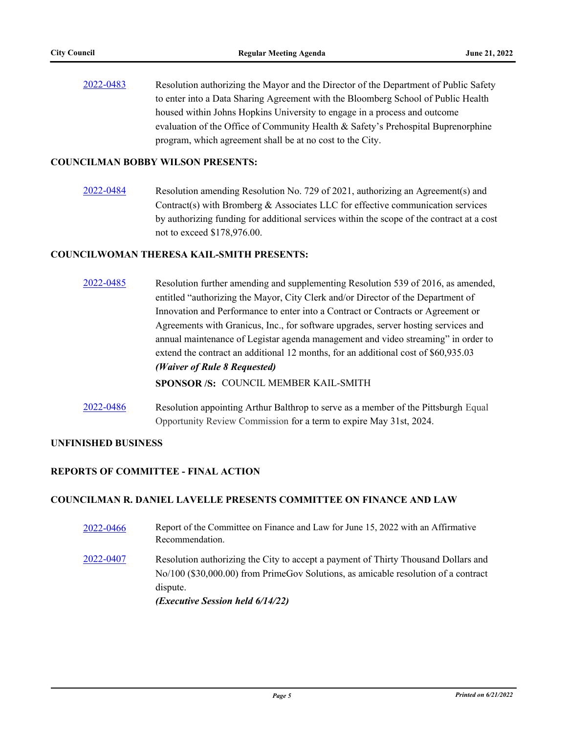[2022-0483](http://pittsburgh.legistar.com/gateway.aspx?m=l&id=/matter.aspx?key=27880) Resolution authorizing the Mayor and the Director of the Department of Public Safety to enter into a Data Sharing Agreement with the Bloomberg School of Public Health housed within Johns Hopkins University to engage in a process and outcome evaluation of the Office of Community Health & Safety's Prehospital Buprenorphine program, which agreement shall be at no cost to the City.

#### **COUNCILMAN BOBBY WILSON PRESENTS:**

[2022-0484](http://pittsburgh.legistar.com/gateway.aspx?m=l&id=/matter.aspx?key=27881) Resolution amending Resolution No. 729 of 2021, authorizing an Agreement(s) and Contract(s) with Bromberg  $\&$  Associates LLC for effective communication services by authorizing funding for additional services within the scope of the contract at a cost not to exceed \$178,976.00.

#### **COUNCILWOMAN THERESA KAIL-SMITH PRESENTS:**

- [2022-0485](http://pittsburgh.legistar.com/gateway.aspx?m=l&id=/matter.aspx?key=27882) Resolution further amending and supplementing Resolution 539 of 2016, as amended, entitled "authorizing the Mayor, City Clerk and/or Director of the Department of Innovation and Performance to enter into a Contract or Contracts or Agreement or Agreements with Granicus, Inc., for software upgrades, server hosting services and annual maintenance of Legistar agenda management and video streaming" in order to extend the contract an additional 12 months, for an additional cost of \$60,935.03 *(Waiver of Rule 8 Requested)* **SPONSOR /S:** COUNCIL MEMBER KAIL-SMITH
- [2022-0486](http://pittsburgh.legistar.com/gateway.aspx?m=l&id=/matter.aspx?key=27883) Resolution appointing Arthur Balthrop to serve as a member of the Pittsburgh Equal Opportunity Review Commission for a term to expire May 31st, 2024.

#### **UNFINISHED BUSINESS**

#### **REPORTS OF COMMITTEE - FINAL ACTION**

#### **COUNCILMAN R. DANIEL LAVELLE PRESENTS COMMITTEE ON FINANCE AND LAW**

[2022-0466](http://pittsburgh.legistar.com/gateway.aspx?m=l&id=/matter.aspx?key=27863) Report of the Committee on Finance and Law for June 15, 2022 with an Affirmative Recommendation. [2022-0407](http://pittsburgh.legistar.com/gateway.aspx?m=l&id=/matter.aspx?key=27790) Resolution authorizing the City to accept a payment of Thirty Thousand Dollars and No/100 (\$30,000.00) from PrimeGov Solutions, as amicable resolution of a contract dispute. *(Executive Session held 6/14/22)*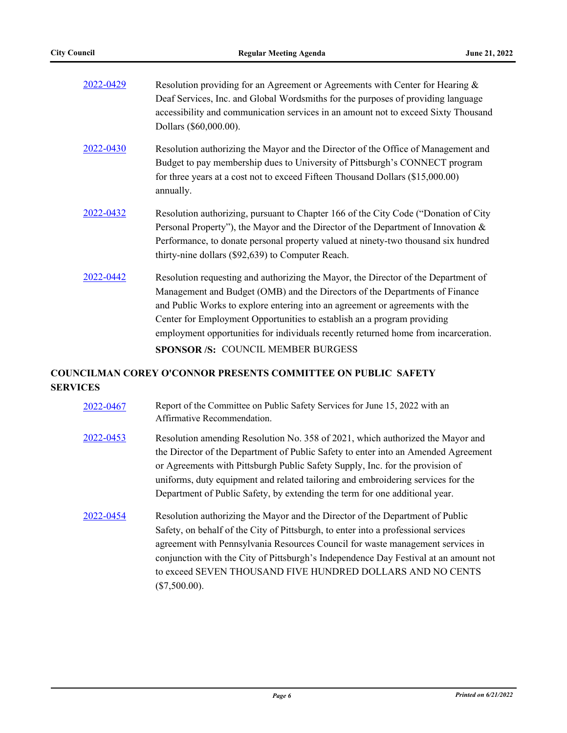| Resolution providing for an Agreement or Agreements with Center for Hearing $\&$<br>Deaf Services, Inc. and Global Wordsmiths for the purposes of providing language<br>accessibility and communication services in an amount not to exceed Sixty Thousand                                                                                                                                                                                                 |
|------------------------------------------------------------------------------------------------------------------------------------------------------------------------------------------------------------------------------------------------------------------------------------------------------------------------------------------------------------------------------------------------------------------------------------------------------------|
| Dollars (\$60,000.00).                                                                                                                                                                                                                                                                                                                                                                                                                                     |
| Resolution authorizing the Mayor and the Director of the Office of Management and<br>Budget to pay membership dues to University of Pittsburgh's CONNECT program<br>for three years at a cost not to exceed Fifteen Thousand Dollars (\$15,000.00)<br>annually.                                                                                                                                                                                            |
| Resolution authorizing, pursuant to Chapter 166 of the City Code ("Donation of City<br>Personal Property"), the Mayor and the Director of the Department of Innovation &<br>Performance, to donate personal property valued at ninety-two thousand six hundred<br>thirty-nine dollars (\$92,639) to Computer Reach.                                                                                                                                        |
| Resolution requesting and authorizing the Mayor, the Director of the Department of<br>Management and Budget (OMB) and the Directors of the Departments of Finance<br>and Public Works to explore entering into an agreement or agreements with the<br>Center for Employment Opportunities to establish an a program providing<br>employment opportunities for individuals recently returned home from incarceration.<br>SPONSOR /S: COUNCIL MEMBER BURGESS |
|                                                                                                                                                                                                                                                                                                                                                                                                                                                            |

### **COUNCILMAN COREY O'CONNOR PRESENTS COMMITTEE ON PUBLIC SAFETY SERVICES**

- [2022-0467](http://pittsburgh.legistar.com/gateway.aspx?m=l&id=/matter.aspx?key=27864) Report of the Committee on Public Safety Services for June 15, 2022 with an Affirmative Recommendation.
- [2022-0453](http://pittsburgh.legistar.com/gateway.aspx?m=l&id=/matter.aspx?key=27848) Resolution amending Resolution No. 358 of 2021, which authorized the Mayor and the Director of the Department of Public Safety to enter into an Amended Agreement or Agreements with Pittsburgh Public Safety Supply, Inc. for the provision of uniforms, duty equipment and related tailoring and embroidering services for the Department of Public Safety, by extending the term for one additional year.
- [2022-0454](http://pittsburgh.legistar.com/gateway.aspx?m=l&id=/matter.aspx?key=27849) Resolution authorizing the Mayor and the Director of the Department of Public Safety, on behalf of the City of Pittsburgh, to enter into a professional services agreement with Pennsylvania Resources Council for waste management services in conjunction with the City of Pittsburgh's Independence Day Festival at an amount not to exceed SEVEN THOUSAND FIVE HUNDRED DOLLARS AND NO CENTS (\$7,500.00).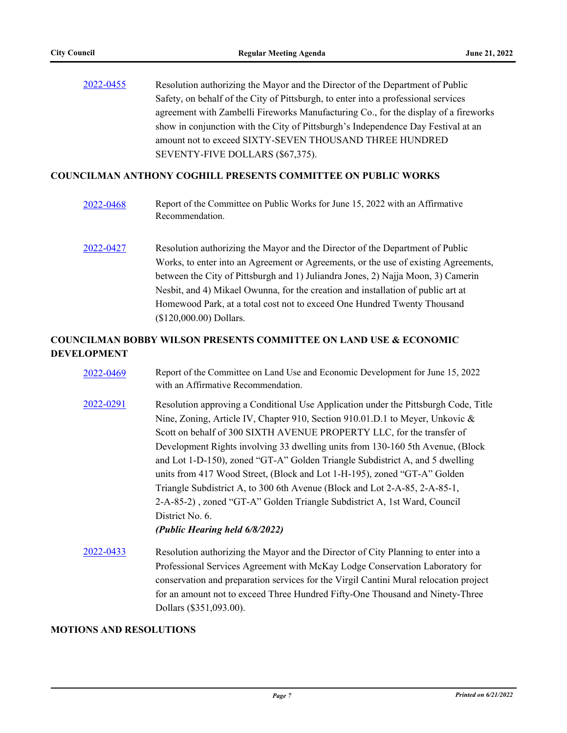[2022-0455](http://pittsburgh.legistar.com/gateway.aspx?m=l&id=/matter.aspx?key=27850) Resolution authorizing the Mayor and the Director of the Department of Public Safety, on behalf of the City of Pittsburgh, to enter into a professional services agreement with Zambelli Fireworks Manufacturing Co., for the display of a fireworks show in conjunction with the City of Pittsburgh's Independence Day Festival at an amount not to exceed SIXTY-SEVEN THOUSAND THREE HUNDRED SEVENTY-FIVE DOLLARS (\$67,375).

#### **COUNCILMAN ANTHONY COGHILL PRESENTS COMMITTEE ON PUBLIC WORKS**

- [2022-0468](http://pittsburgh.legistar.com/gateway.aspx?m=l&id=/matter.aspx?key=27865) Report of the Committee on Public Works for June 15, 2022 with an Affirmative Recommendation.
- [2022-0427](http://pittsburgh.legistar.com/gateway.aspx?m=l&id=/matter.aspx?key=27810) Resolution authorizing the Mayor and the Director of the Department of Public Works, to enter into an Agreement or Agreements, or the use of existing Agreements, between the City of Pittsburgh and 1) Juliandra Jones, 2) Najja Moon, 3) Camerin Nesbit, and 4) Mikael Owunna, for the creation and installation of public art at Homewood Park, at a total cost not to exceed One Hundred Twenty Thousand (\$120,000.00) Dollars.

#### **COUNCILMAN BOBBY WILSON PRESENTS COMMITTEE ON LAND USE & ECONOMIC DEVELOPMENT**

- [2022-0469](http://pittsburgh.legistar.com/gateway.aspx?m=l&id=/matter.aspx?key=27866) Report of the Committee on Land Use and Economic Development for June 15, 2022 with an Affirmative Recommendation. [2022-0291](http://pittsburgh.legistar.com/gateway.aspx?m=l&id=/matter.aspx?key=27660) Resolution approving a Conditional Use Application under the Pittsburgh Code, Title Nine, Zoning, Article IV, Chapter 910, Section 910.01.D.1 to Meyer, Unkovic & Scott on behalf of 300 SIXTH AVENUE PROPERTY LLC, for the transfer of Development Rights involving 33 dwelling units from 130-160 5th Avenue, (Block and Lot 1-D-150), zoned "GT-A" Golden Triangle Subdistrict A, and 5 dwelling units from 417 Wood Street, (Block and Lot 1-H-195), zoned "GT-A" Golden Triangle Subdistrict A, to 300 6th Avenue (Block and Lot 2-A-85, 2-A-85-1, 2-A-85-2) , zoned "GT-A" Golden Triangle Subdistrict A, 1st Ward, Council District No. 6. *(Public Hearing held 6/8/2022)* [2022-0433](http://pittsburgh.legistar.com/gateway.aspx?m=l&id=/matter.aspx?key=27816) Resolution authorizing the Mayor and the Director of City Planning to enter into a
- Professional Services Agreement with McKay Lodge Conservation Laboratory for conservation and preparation services for the Virgil Cantini Mural relocation project for an amount not to exceed Three Hundred Fifty-One Thousand and Ninety-Three Dollars (\$351,093.00).

#### **MOTIONS AND RESOLUTIONS**